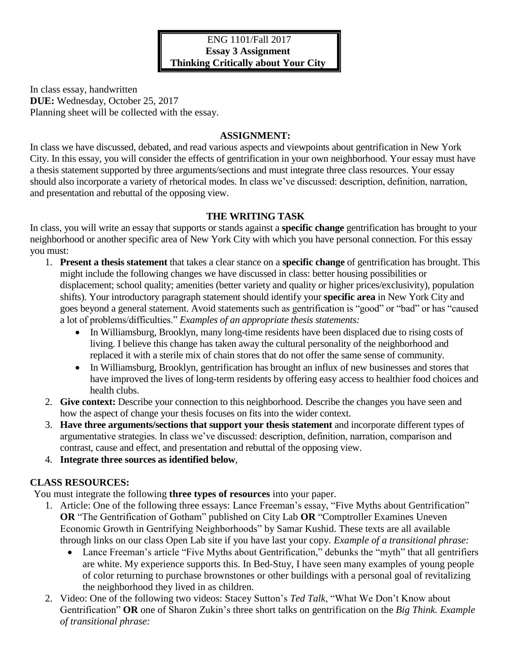In class essay, handwritten **DUE:** Wednesday, October 25, 2017 Planning sheet will be collected with the essay.

#### **ASSIGNMENT:**

In class we have discussed, debated, and read various aspects and viewpoints about gentrification in New York City. In this essay, you will consider the effects of gentrification in your own neighborhood. Your essay must have a thesis statement supported by three arguments/sections and must integrate three class resources. Your essay should also incorporate a variety of rhetorical modes. In class we've discussed: description, definition, narration, and presentation and rebuttal of the opposing view.

### **THE WRITING TASK**

In class, you will write an essay that supports or stands against a **specific change** gentrification has brought to your neighborhood or another specific area of New York City with which you have personal connection. For this essay you must:

- 1. **Present a thesis statement** that takes a clear stance on a **specific change** of gentrification has brought. This might include the following changes we have discussed in class: better housing possibilities or displacement; school quality; amenities (better variety and quality or higher prices/exclusivity), population shifts). Your introductory paragraph statement should identify your **specific area** in New York City and goes beyond a general statement. Avoid statements such as gentrification is "good" or "bad" or has "caused a lot of problems/difficulties." *Examples of an appropriate thesis statements:*
	- In Williamsburg, Brooklyn, many long-time residents have been displaced due to rising costs of living. I believe this change has taken away the cultural personality of the neighborhood and replaced it with a sterile mix of chain stores that do not offer the same sense of community.
	- In Williamsburg, Brooklyn, gentrification has brought an influx of new businesses and stores that have improved the lives of long-term residents by offering easy access to healthier food choices and health clubs.
- 2. **Give context:** Describe your connection to this neighborhood. Describe the changes you have seen and how the aspect of change your thesis focuses on fits into the wider context.
- 3. **Have three arguments/sections that support your thesis statement** and incorporate different types of argumentative strategies. In class we've discussed: description, definition, narration, comparison and contrast, cause and effect, and presentation and rebuttal of the opposing view.
- 4. **Integrate three sources as identified below**,

### **CLASS RESOURCES:**

You must integrate the following **three types of resources** into your paper.

- 1. Article: One of the following three essays: Lance Freeman's essay, "Five Myths about Gentrification" **OR** ["The Gentrification of Gotham"](https://openlab.citytech.cuny.edu/brain-on-the-page-fall-2017/2017/07/08/oer-resource-14-the-gentrification-of-gotham/) published on City Lab **OR** ["Comptroller Examines Uneven](https://openlab.citytech.cuny.edu/brain-on-the-page-fall-2017/2017/07/08/oer-15-comptroller-examines-uneven-economic-growth-in-gentrifying-neighborhoods/)  [Economic Growth in Gentrifying Neighborhoods"](https://openlab.citytech.cuny.edu/brain-on-the-page-fall-2017/2017/07/08/oer-15-comptroller-examines-uneven-economic-growth-in-gentrifying-neighborhoods/) by Samar Kushid. These texts are all available through links on our class Open Lab site if you have last your copy*. Example of a transitional phrase:*
	- Lance Freeman's article "Five Myths about Gentrification," debunks the "myth" that all gentrifiers are white. My experience supports this. In Bed-Stuy, I have seen many examples of young people of color returning to purchase brownstones or other buildings with a personal goal of revitalizing the neighborhood they lived in as children.
- 2. Video: One of the following two videos: Stacey Sutton's *Ted Talk*, "What We Don't Know about Gentrification" **OR** one of Sharon Zukin's three short talks on gentrification on the *Big Think. Example of transitional phrase:*